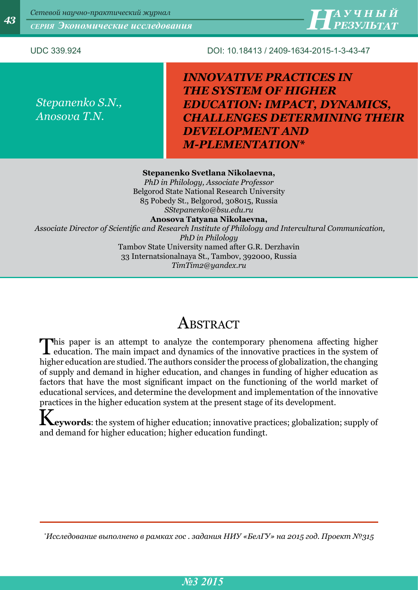

UDC 339.924 DOI: 10.18413 / 2409-1634-2015-1-3-43-47

*Stepanenko S.N., Anosova T.N.*

*INNOVATIVE PRACTICES IN THE SYSTEM OF HIGHER EDUCATION: IMPACT, DYNAMICS, CHALLENGES DETERMINING THEIR DEVELOPMENT AND M-PLEMENTATION\**

#### **Stepanenko Svetlana Nikolaevna,**

*PhD in Philology, Associate Professor* Belgorod State National Research University 85 Pobedy St., Belgorod, 308015, Russia *[SStepanenko@bsu.edu.ru](mailto:SStepanenko@bsu.edu.ru)* **Anosova Tatyana Nikolaevna,**

*Associate Director of Scientific and Research Institute of Philology and Intercultural Communication, PhD in Philology* Tambov State University named after G.R. Derzhavin 33 Internatsionalnaya St., Tambov, 392000, Russia *[TimTim2@yandex.ru](mailto:TimTim2@yandex.ru)*

# **ABSTRACT**

This paper is an attempt to analyze the contemporary phenomena affecting higher education. The main impact and dynamics of the innovative practices in the system of higher education are studied. The authors consider the process of globalization, the changing of supply and demand in higher education, and changes in funding of higher education as factors that have the most significant impact on the functioning of the world market of educational services, and determine the development and implementation of the innovative practices in the higher education system at the present stage of its development.

**Keywords**: the system of higher education; innovative practices; globalization; supply of and demand for higher education; higher education fundingt.

*\* Исследование выполнено в рамках гос . задания НИУ «БелГУ» на 2015 год. Проект №315*

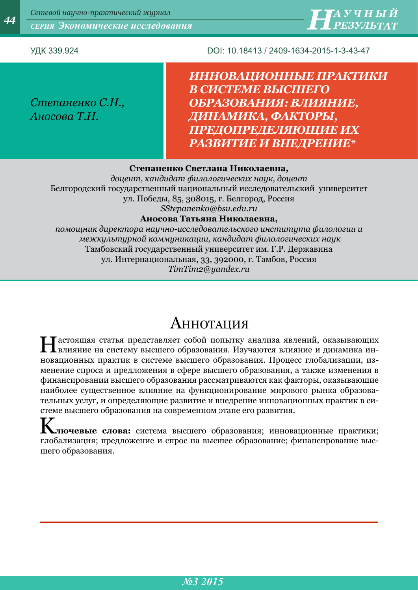*Сетевой научно-практический журнал СЕРИЯ Экономические исследования <sup>44</sup> Н А <sup>У</sup> Ч Н ЫЙ*



УДК 339.924 DOI: 10.18413 / 2409-1634-2015-1-3-43-47

*Степаненко С.Н., Аносова Т.Н.*

*ИННОВАЦИОННЫЕ ПРАКТИКИ В СИСТЕМЕ ВЫСШЕГО ОБРАЗОВАНИЯ: ВЛИЯНИЕ, ДИНАМИКА, ФАКТОРЫ, ПРЕДОПРЕДЕЛЯЮЩИЕ ИХ РАЗВИТИЕ И ВНЕДРЕНИЕ\**

### **Степаненко Светлана Николаевна,**

*доцент, кандидат филологических наук, доцент* Белгородский государственный национальный исследовательский университет ул. Победы, 85, 308015, г. Белгород, Россия *SStepanenko@bsu.edu.ru*

### **Аносова Татьяна Николаевна,**

*помощник директора научно-исследовательского института филологии и межкультурной коммуникации, кандидат филологических наук* Тамбовский государственный университет им. Г.Р. Державина ул. Интернациональная, 33, 392000, г. Тамбов, Россия *[TimTim2@yandex.ru](mailto:TimTim2@yandex.ru)*

## АННОТАЦИЯ

Настоящая статья представляет собой попытку анализа явлений, оказывающих влияние на систему высшего образования. Изучаются влияние и динамика инновационных практик в системе высшего образования. Процесс глобализации, изменение спроса и предложения в сфере высшего образования, а также изменения в финансировании высшего образования рассматриваются как факторы, оказывающие наиболее существенное влияние на функционирование мирового рынка образовательных услуг, и определяющие развитие и внедрение инновационных практик в системе высшего образования на современном этапе его развития.

K**лючевые слова:** система высшего образования; инновационные практики; глобализация; предложение и спрос на высшее образование; финансирование высшего образования.

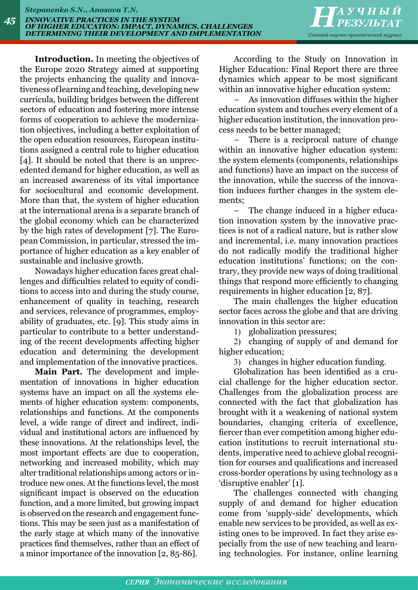**Introduction.** In meeting the objectives of the Europe 2020 Strategy aimed at supporting the projects enhancing the quality and innovativeness of learning and teaching, developing new curricula, building bridges between the different sectors of education and fostering more intense forms of cooperation to achieve the modernization objectives, including a better exploitation of the open education resources, European institutions assigned a central role to higher education [4]. It should be noted that there is an unprecedented demand for higher education, as well as an increased awareness of its vital importance for sociocultural and economic development. More than that, the system of higher education at the international arena is a separate branch of the global economy which can be characterized by the high rates of development [7]. The European Commission, in particular, stressed the importance of higher education as a key enabler of sustainable and inclusive growth.

Nowadays higher education faces great challenges and difficulties related to equity of conditions to access into and during the study course, enhancement of quality in teaching, research and services, relevance of programmes, employability of graduates, etc. [9]. This study aims in particular to contribute to a better understanding of the recent developments affecting higher education and determining the development and implementation of the innovative practices.

**Main Part.** The development and implementation of innovations in higher education systems have an impact on all the systems elements of higher education system: components, relationships and functions. At the components level, a wide range of direct and indirect, individual and institutional actors are influenced by these innovations. At the relationships level, the most important effects are due to cooperation, networking and increased mobility, which may alter traditional relationships among actors or introduce new ones. At the functions level, the most significant impact is observed on the education function, and a more limited, but growing impact is observed on the research and engagement functions. This may be seen just as a manifestation of the early stage at which many of the innovative practices find themselves, rather than an effect of a minor importance of the innovation [2, 85-86].

According to the Study on Innovation in Higher Education: Final Report there are three dynamics which appear to be most significant within an innovative higher education system:

As innovation diffuses within the higher education system and touches every element of a higher education institution, the innovation process needs to be better managed;

There is a reciprocal nature of change within an innovative higher education system: the system elements (components, relationships and functions) have an impact on the success of the innovation, while the success of the innovation induces further changes in the system elements;

The change induced in a higher education innovation system by the innovative practices is not of a radical nature, but is rather slow and incremental, i.e. many innovation practices do not radically modify the traditional higher education institutions' functions; on the contrary, they provide new ways of doing traditional things that respond more efficiently to changing requirements in higher education [2, 87].

The main challenges the higher education sector faces across the globe and that are driving innovation in this sector are:

1) globalization pressures;

2) changing of supply of and demand for higher education;

3) changes in higher education funding.

Globalization has been identified as a crucial challenge for the higher education sector. Challenges from the globalization process are connected with the fact that globalization has brought with it a weakening of national system boundaries, changing criteria of excellence, fiercer than ever competition among higher education institutions to recruit international students, imperative need to achieve global recognition for courses and qualifications and increased cross‐border operations by using technology as a 'disruptive enabler' [1].

The challenges connected with changing supply of and demand for higher education come from 'supply-side' developments, which enable new services to be provided, as well as existing ones to be improved. In fact they arise especially from the use of new teaching and learning technologies. For instance, online learning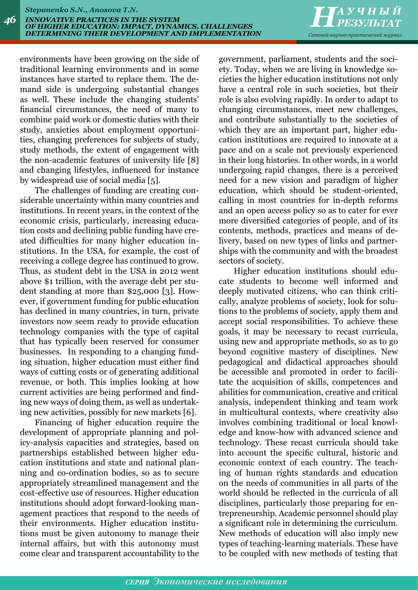*РЕЗУЛЬТАТ Сетевой научно-практический журнал*

environments have been growing on the side of traditional learning environments and in some instances have started to replace them. The demand side is undergoing substantial changes as well. These include the changing students' financial circumstances, the need of many to combine paid work or domestic duties with their study, anxieties about employment opportunities, changing preferences for subjects of study, study methods, the extent of engagement with the non-academic features of university life [8] and changing lifestyles, influenced for instance by widespread use of social media [5].

The challenges of funding are creating considerable uncertainty within many countries and institutions. In recent years, in the context of the economic crisis, particularly, increasing education costs and declining public funding have created difficulties for many higher education institutions. In the USA, for example, the cost of receiving a college degree has continued to grow. Thus, as student debt in the USA in 2012 went above \$1 trillion, with the average debt per student standing at more than \$25,000 [3]. However, if government funding for public education has declined in many countries, in turn, private investors now seem ready to provide education technology companies with the type of capital that has typically been reserved for consumer businesses. In responding to a changing funding situation, higher education must either find ways of cutting costs or of generating additional revenue, or both. This implies looking at how current activities are being performed and finding new ways of doing them, as well as undertaking new activities, possibly for new markets [6].

Financing of higher education require the development of appropriate planning and policy-analysis capacities and strategies, based on partnerships established between higher education institutions and state and national planning and co-ordination bodies, so as to secure appropriately streamlined management and the cost-effective use of resources. Higher education institutions should adopt forward-looking management practices that respond to the needs of their environments. Higher education institutions must be given autonomy to manage their internal affairs, but with this autonomy must come clear and transparent accountability to the

government, parliament, students and the society. Today, when we are living in knowledge societies the higher education institutions not only have a central role in such societies, but their role is also evolving rapidly. In order to adapt to changing circumstances, meet new challenges, and contribute substantially to the societies of which they are an important part, higher education institutions are required to innovate at a pace and on a scale not previously experienced in their long histories. In other words, in a world undergoing rapid changes, there is a perceived need for a new vision and paradigm of higher education, which should be student-oriented, calling in most countries for in-depth reforms and an open access policy so as to cater for ever more diversified categories of people, and of its contents, methods, practices and means of delivery, based on new types of links and partnerships with the community and with the broadest sectors of society.

Higher education institutions should educate students to become well informed and deeply motivated citizens, who can think critically, analyze problems of society, look for solutions to the problems of society, apply them and accept social responsibilities. To achieve these goals, it may be necessary to recast curricula, using new and appropriate methods, so as to go beyond cognitive mastery of disciplines. New pedagogical and didactical approaches should be accessible and promoted in order to facilitate the acquisition of skills, competences and abilities for communication, creative and critical analysis, independent thinking and team work in multicultural contexts, where creativity also involves combining traditional or local knowledge and know-how with advanced science and technology. These recast curricula should take into account the specific cultural, historic and economic context of each country. The teaching of human rights standards and education on the needs of communities in all parts of the world should be reflected in the curricula of all disciplines, particularly those preparing for entrepreneurship. Academic personnel should play a significant role in determining the curriculum. New methods of education will also imply new types of teaching-learning materials. These have to be coupled with new methods of testing that